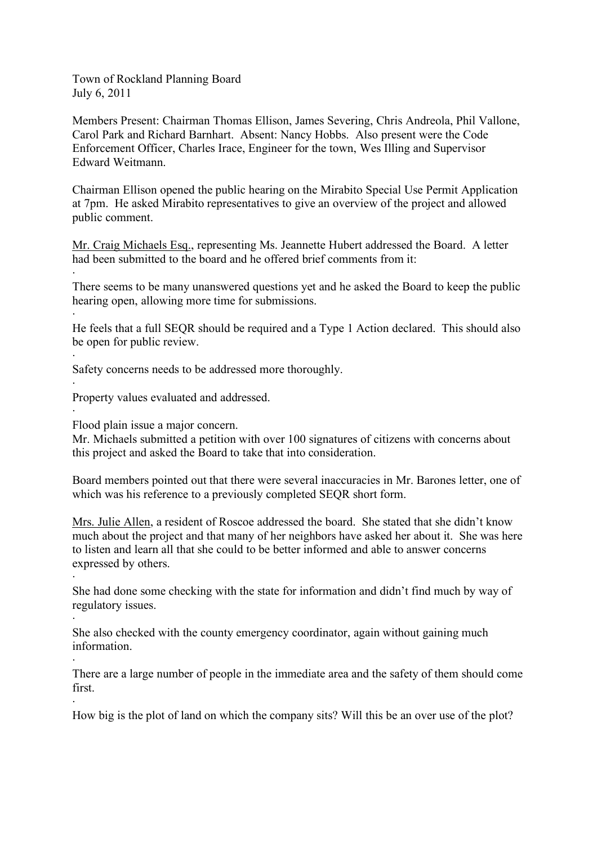Town of Rockland Planning Board July 6, 2011

Members Present: Chairman Thomas Ellison, James Severing, Chris Andreola, Phil Vallone, Carol Park and Richard Barnhart. Absent: Nancy Hobbs. Also present were the Code Enforcement Officer, Charles Irace, Engineer for the town, Wes Illing and Supervisor Edward Weitmann.

Chairman Ellison opened the public hearing on the Mirabito Special Use Permit Application at 7pm. He asked Mirabito representatives to give an overview of the project and allowed public comment.

Mr. Craig Michaels Esq., representing Ms. Jeannette Hubert addressed the Board. A letter had been submitted to the board and he offered brief comments from it:

There seems to be many unanswered questions yet and he asked the Board to keep the public hearing open, allowing more time for submissions.

He feels that a full SEQR should be required and a Type 1 Action declared. This should also be open for public review.

Safety concerns needs to be addressed more thoroughly.

Property values evaluated and addressed.

Flood plain issue a major concern.

·

·

·

·

·

·

·

·

·

Mr. Michaels submitted a petition with over 100 signatures of citizens with concerns about this project and asked the Board to take that into consideration.

Board members pointed out that there were several inaccuracies in Mr. Barones letter, one of which was his reference to a previously completed SEQR short form.

Mrs. Julie Allen, a resident of Roscoe addressed the board. She stated that she didn't know much about the project and that many of her neighbors have asked her about it. She was here to listen and learn all that she could to be better informed and able to answer concerns expressed by others.

She had done some checking with the state for information and didn't find much by way of regulatory issues.

She also checked with the county emergency coordinator, again without gaining much information.

There are a large number of people in the immediate area and the safety of them should come first.

How big is the plot of land on which the company sits? Will this be an over use of the plot?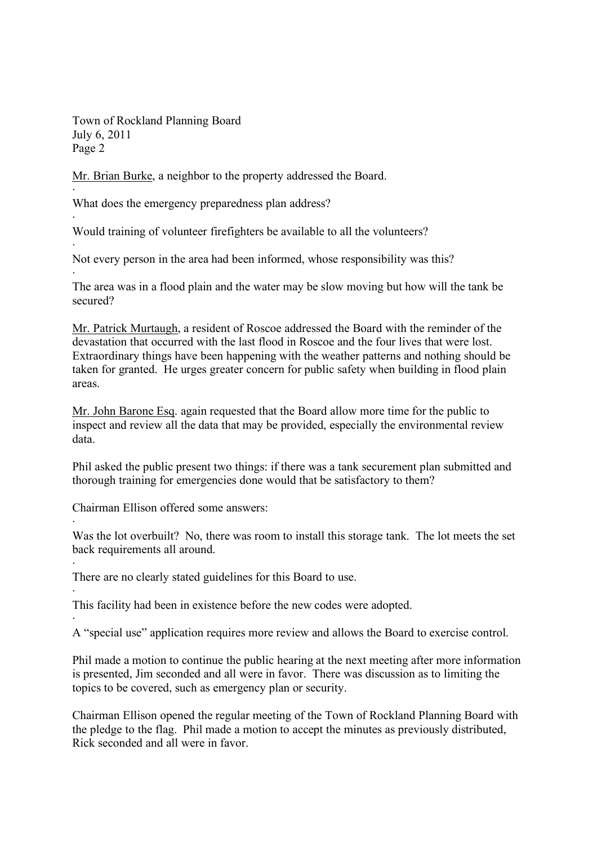Town of Rockland Planning Board July 6, 2011 Page 2

·

·

·

·

·

·

·

·

Mr. Brian Burke, a neighbor to the property addressed the Board.

What does the emergency preparedness plan address?

Would training of volunteer firefighters be available to all the volunteers?

Not every person in the area had been informed, whose responsibility was this?

The area was in a flood plain and the water may be slow moving but how will the tank be secured?

Mr. Patrick Murtaugh, a resident of Roscoe addressed the Board with the reminder of the devastation that occurred with the last flood in Roscoe and the four lives that were lost. Extraordinary things have been happening with the weather patterns and nothing should be taken for granted. He urges greater concern for public safety when building in flood plain areas.

Mr. John Barone Esq. again requested that the Board allow more time for the public to inspect and review all the data that may be provided, especially the environmental review data.

Phil asked the public present two things: if there was a tank securement plan submitted and thorough training for emergencies done would that be satisfactory to them?

Chairman Ellison offered some answers:

Was the lot overbuilt? No, there was room to install this storage tank. The lot meets the set back requirements all around.

There are no clearly stated guidelines for this Board to use.

This facility had been in existence before the new codes were adopted.

A "special use" application requires more review and allows the Board to exercise control.

Phil made a motion to continue the public hearing at the next meeting after more information is presented, Jim seconded and all were in favor. There was discussion as to limiting the topics to be covered, such as emergency plan or security.

Chairman Ellison opened the regular meeting of the Town of Rockland Planning Board with the pledge to the flag. Phil made a motion to accept the minutes as previously distributed, Rick seconded and all were in favor.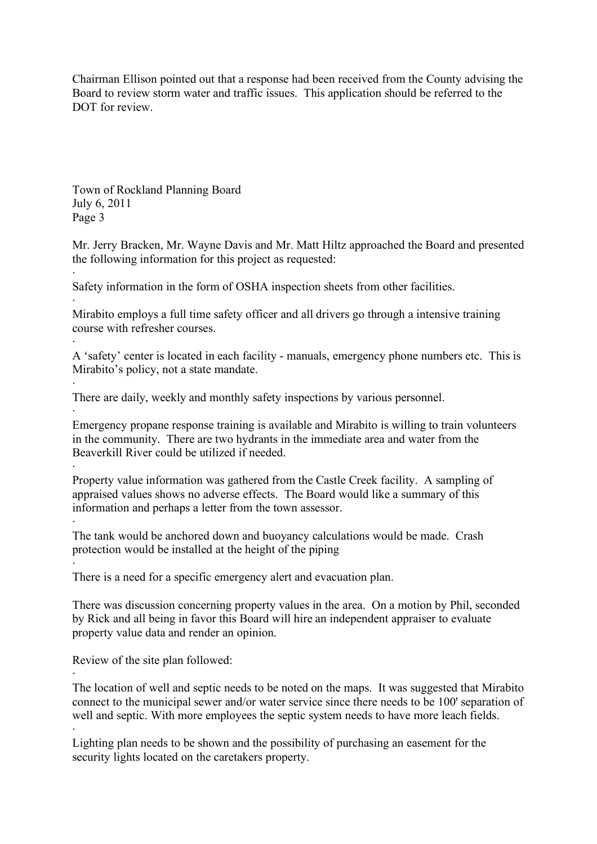Chairman Ellison pointed out that a response had been received from the County advising the Board to review storm water and traffic issues. This application should be referred to the DOT for review.

Town of Rockland Planning Board July 6, 2011 Page 3

·

·

·

·

·

·

·

Mr. Jerry Bracken, Mr. Wayne Davis and Mr. Matt Hiltz approached the Board and presented the following information for this project as requested:

Safety information in the form of OSHA inspection sheets from other facilities.

· Mirabito employs a full time safety officer and all drivers go through a intensive training course with refresher courses.

A 'safety' center is located in each facility - manuals, emergency phone numbers etc. This is Mirabito's policy, not a state mandate.

There are daily, weekly and monthly safety inspections by various personnel.

· Emergency propane response training is available and Mirabito is willing to train volunteers in the community. There are two hydrants in the immediate area and water from the Beaverkill River could be utilized if needed.

Property value information was gathered from the Castle Creek facility. A sampling of appraised values shows no adverse effects. The Board would like a summary of this information and perhaps a letter from the town assessor.

The tank would be anchored down and buoyancy calculations would be made. Crash protection would be installed at the height of the piping

There is a need for a specific emergency alert and evacuation plan.

There was discussion concerning property values in the area. On a motion by Phil, seconded by Rick and all being in favor this Board will hire an independent appraiser to evaluate property value data and render an opinion.

Review of the site plan followed:

The location of well and septic needs to be noted on the maps. It was suggested that Mirabito connect to the municipal sewer and/or water service since there needs to be 100' separation of well and septic. With more employees the septic system needs to have more leach fields. ·

Lighting plan needs to be shown and the possibility of purchasing an easement for the security lights located on the caretakers property.